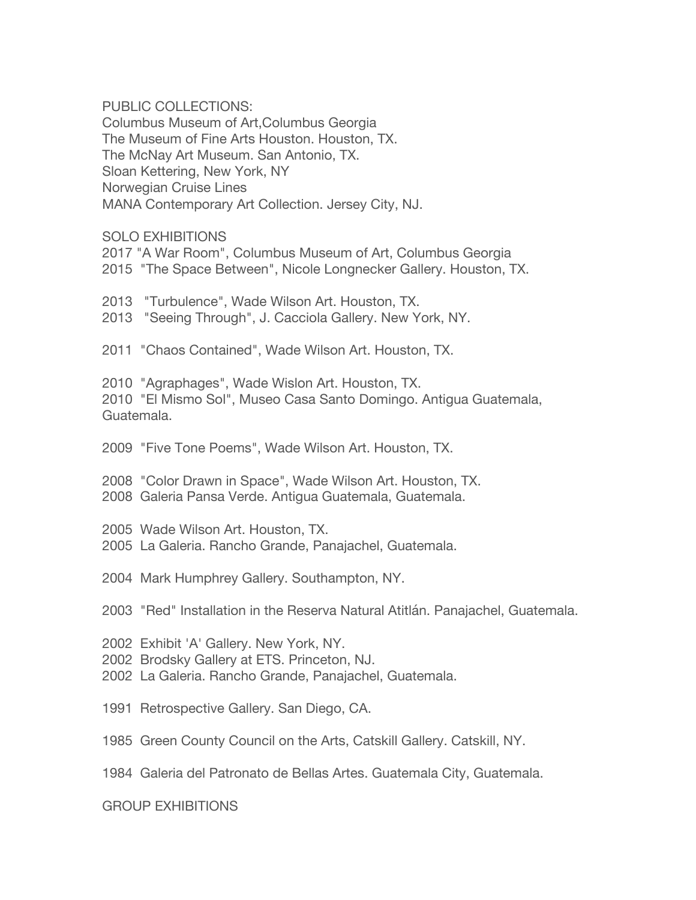PUBLIC COLLECTIONS:

Columbus Museum of Art,Columbus Georgia The Museum of Fine Arts Houston. Houston, TX. The McNay Art Museum. San Antonio, TX. Sloan Kettering, New York, NY Norwegian Cruise Lines MANA Contemporary Art Collection. Jersey City, NJ.

## SOLO EXHIBITIONS

2017 "A War Room", Columbus Museum of Art, Columbus Georgia 2015 "The Space Between", Nicole Longnecker Gallery. Houston, TX. 2013 "Turbulence", Wade Wilson Art. Houston, TX. 2013 "Seeing Through", J. Cacciola Gallery. New York, NY. 2011 "Chaos Contained", Wade Wilson Art. Houston, TX. 2010 "Agraphages", Wade Wislon Art. Houston, TX. 2010 "El Mismo Sol", Museo Casa Santo Domingo. Antigua Guatemala, Guatemala. 2009 "Five Tone Poems", Wade Wilson Art. Houston, TX. 2008 "Color Drawn in Space", Wade Wilson Art. Houston, TX. 2008 Galeria Pansa Verde. Antigua Guatemala, Guatemala. 2005 Wade Wilson Art. Houston, TX. 2005 La Galeria. Rancho Grande, Panajachel, Guatemala. 2004 Mark Humphrey Gallery. Southampton, NY. 2003 "Red" Installation in the Reserva Natural Atitlán. Panajachel, Guatemala. 2002 Exhibit 'A' Gallery. New York, NY. 2002 Brodsky Gallery at ETS. Princeton, NJ. 2002 La Galeria. Rancho Grande, Panajachel, Guatemala. 1991 Retrospective Gallery. San Diego, CA. 1985 Green County Council on the Arts, Catskill Gallery. Catskill, NY. 1984 Galeria del Patronato de Bellas Artes. Guatemala City, Guatemala. GROUP EXHIBITIONS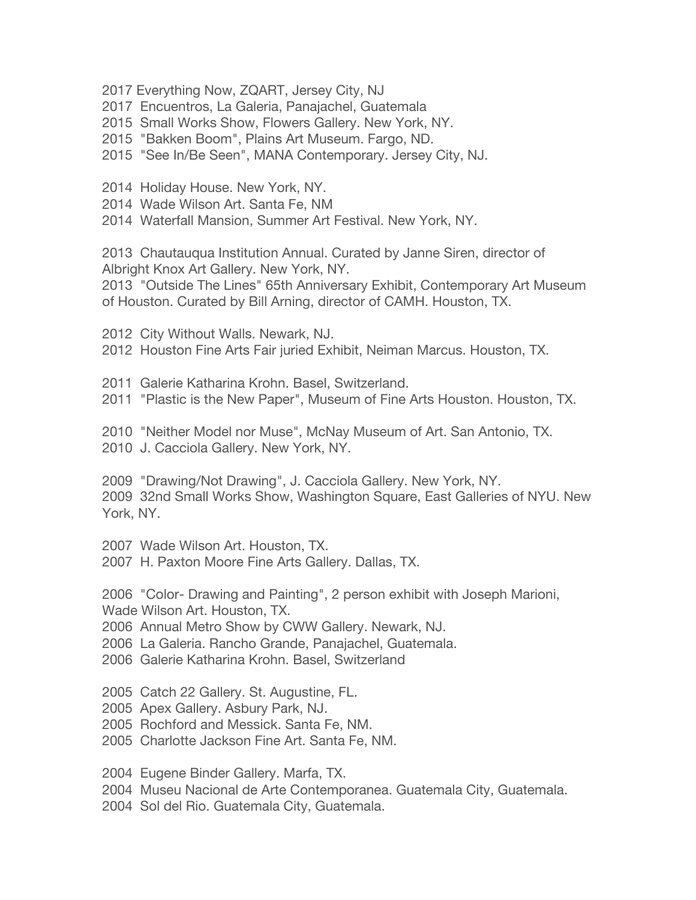2017 Everything Now, ZQART, Jersey City, NJ

2017 Encuentros, La Galeria, Panajachel, Guatemala

2015 Small Works Show, Flowers Gallery. New York, NY.

2015 "Bakken Boom", Plains Art Museum. Fargo, ND.

2015 "See In/Be Seen", MANA Contemporary. Jersey City, NJ.

2014 Holiday House. New York, NY.

2014 Wade Wilson Art. Santa Fe, NM

2014 Waterfall Mansion, Summer Art Festival. New York, NY.

2013 Chautauqua Institution Annual. Curated by Janne Siren, director of Albright Knox Art Gallery. New York, NY.

2013 "Outside The Lines" 65th Anniversary Exhibit, Contemporary Art Museum of Houston. Curated by Bill Arning, director of CAMH. Houston, TX.

2012 City Without Walls. Newark, NJ.

2012 Houston Fine Arts Fair juried Exhibit, Neiman Marcus. Houston, TX.

2011 Galerie Katharina Krohn. Basel, Switzerland.

2011 "Plastic is the New Paper", Museum of Fine Arts Houston. Houston, TX.

2010 "Neither Model nor Muse", McNay Museum of Art. San Antonio, TX. 2010 J. Cacciola Gallery. New York, NY.

2009 "Drawing/Not Drawing", J. Cacciola Gallery. New York, NY. 2009 32nd Small Works Show, Washington Square, East Galleries of NYU. New York, NY.

2007 Wade Wilson Art. Houston, TX.

2007 H. Paxton Moore Fine Arts Gallery. Dallas, TX.

2006 "Color- Drawing and Painting", 2 person exhibit with Joseph Marioni, Wade Wilson Art. Houston, TX.

2006 Annual Metro Show by CWW Gallery. Newark, NJ.

2006 La Galeria. Rancho Grande, Panajachel, Guatemala.

2006 Galerie Katharina Krohn. Basel, Switzerland

2005 Catch 22 Gallery. St. Augustine, FL.

2005 Apex Gallery. Asbury Park, NJ.

2005 Rochford and Messick. Santa Fe, NM.

2005 Charlotte Jackson Fine Art. Santa Fe, NM.

2004 Eugene Binder Gallery. Marfa, TX.

2004 Museu Nacional de Arte Contemporanea. Guatemala City, Guatemala.

2004 Sol del Rio. Guatemala City, Guatemala.